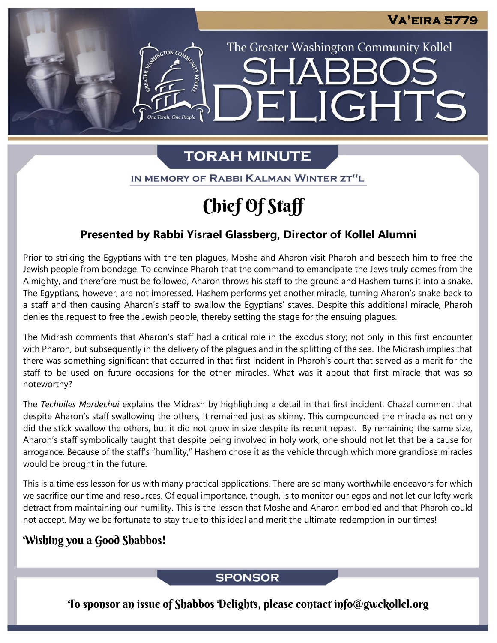The Greater Washington Community Kollel

ELIGHTS

# **TORAH MINUTE**

IN MEMORY OF RABBI KALMAN WINTER ZT"L

# Chief Of Staff

## **Presented by Rabbi Yisrael Glassberg, Director of Kollel Alumni**

Prior to striking the Egyptians with the ten plagues, Moshe and Aharon visit Pharoh and beseech him to free the Jewish people from bondage. To convince Pharoh that the command to emancipate the Jews truly comes from the Almighty, and therefore must be followed, Aharon throws his staff to the ground and Hashem turns it into a snake. The Egyptians, however, are not impressed. Hashem performs yet another miracle, turning Aharon's snake back to a staff and then causing Aharon's staff to swallow the Egyptians' staves. Despite this additional miracle, Pharoh denies the request to free the Jewish people, thereby setting the stage for the ensuing plagues.

The Midrash comments that Aharon's staff had a critical role in the exodus story; not only in this first encounter with Pharoh, but subsequently in the delivery of the plagues and in the splitting of the sea. The Midrash implies that there was something significant that occurred in that first incident in Pharoh's court that served as a merit for the staff to be used on future occasions for the other miracles. What was it about that first miracle that was so noteworthy?

The *Techailes Mordechai* explains the Midrash by highlighting a detail in that first incident. Chazal comment that despite Aharon's staff swallowing the others, it remained just as skinny. This compounded the miracle as not only did the stick swallow the others, but it did not grow in size despite its recent repast. By remaining the same size, Aharon's staff symbolically taught that despite being involved in holy work, one should not let that be a cause for arrogance. Because of the staff's "humility," Hashem chose it as the vehicle through which more grandiose miracles would be brought in the future.

This is a timeless lesson for us with many practical applications. There are so many worthwhile endeavors for which we sacrifice our time and resources. Of equal importance, though, is to monitor our egos and not let our lofty work detract from maintaining our humility. This is the lesson that Moshe and Aharon embodied and that Pharoh could not accept. May we be fortunate to stay true to this ideal and merit the ultimate redemption in our times!

## Wishing you a Good Shabbos!

### **SPONSOR**

To sponsor an issue of Shabbos Delights, please contact info@gwckollel.org